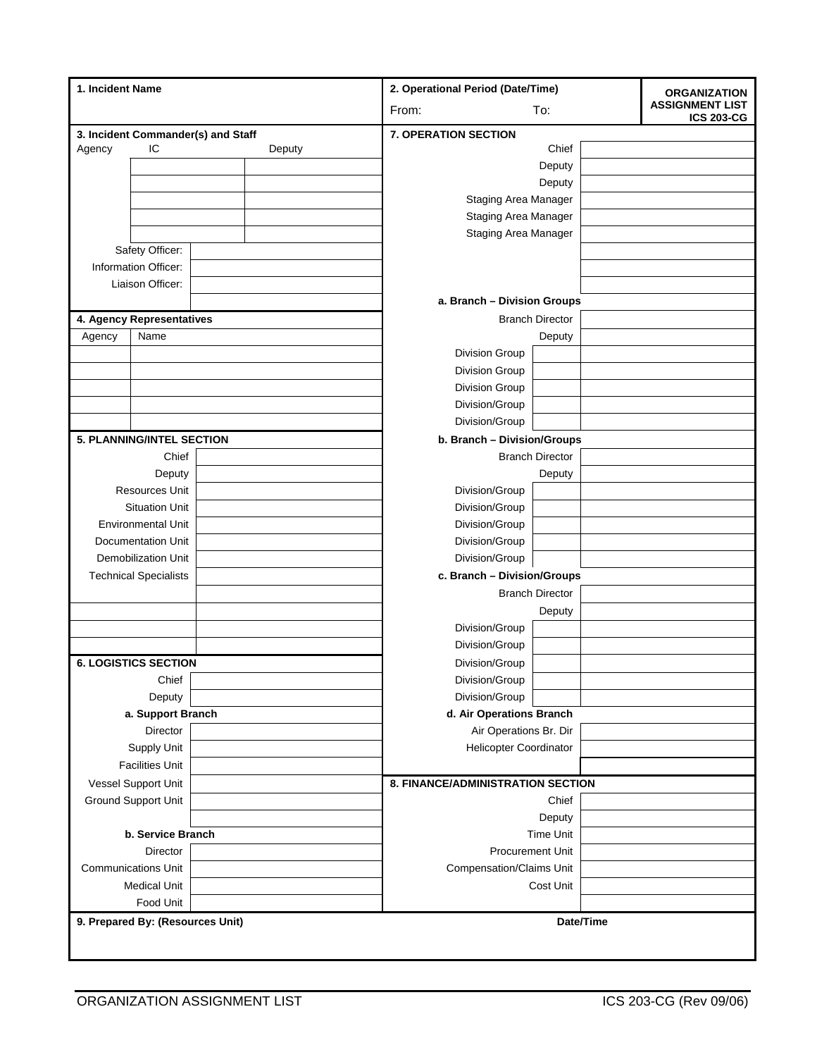| 1. Incident Name                              |                                  |                                   | 2. Operational Period (Date/Time) |                        | <b>ORGANIZATION</b> |                                             |
|-----------------------------------------------|----------------------------------|-----------------------------------|-----------------------------------|------------------------|---------------------|---------------------------------------------|
|                                               |                                  |                                   | From:<br>To:                      |                        |                     | <b>ASSIGNMENT LIST</b><br><b>ICS 203-CG</b> |
| 3. Incident Commander(s) and Staff            |                                  |                                   | <b>7. OPERATION SECTION</b>       |                        |                     |                                             |
| Agency                                        | IC                               | Deputy                            |                                   | Chief                  |                     |                                             |
|                                               |                                  |                                   |                                   | Deputy                 |                     |                                             |
|                                               |                                  |                                   |                                   | Deputy                 |                     |                                             |
|                                               |                                  |                                   | <b>Staging Area Manager</b>       |                        |                     |                                             |
|                                               |                                  |                                   | Staging Area Manager              |                        |                     |                                             |
|                                               |                                  |                                   | <b>Staging Area Manager</b>       |                        |                     |                                             |
| Safety Officer:<br>Information Officer:       |                                  |                                   |                                   |                        |                     |                                             |
|                                               |                                  |                                   |                                   |                        |                     |                                             |
| Liaison Officer:                              |                                  |                                   | a. Branch - Division Groups       |                        |                     |                                             |
|                                               |                                  |                                   | <b>Branch Director</b>            |                        |                     |                                             |
| 4. Agency Representatives<br>Name             |                                  |                                   |                                   | Deputy                 |                     |                                             |
| Agency                                        |                                  |                                   | <b>Division Group</b>             |                        |                     |                                             |
|                                               |                                  |                                   | <b>Division Group</b>             |                        |                     |                                             |
|                                               |                                  |                                   | <b>Division Group</b>             |                        |                     |                                             |
|                                               |                                  |                                   | Division/Group                    |                        |                     |                                             |
|                                               |                                  |                                   | Division/Group                    |                        |                     |                                             |
|                                               | <b>5. PLANNING/INTEL SECTION</b> |                                   | b. Branch - Division/Groups       |                        |                     |                                             |
|                                               | Chief                            |                                   |                                   | <b>Branch Director</b> |                     |                                             |
|                                               | Deputy                           |                                   |                                   | Deputy                 |                     |                                             |
|                                               | <b>Resources Unit</b>            |                                   | Division/Group                    |                        |                     |                                             |
|                                               | <b>Situation Unit</b>            |                                   | Division/Group                    |                        |                     |                                             |
|                                               | <b>Environmental Unit</b>        |                                   | Division/Group                    |                        |                     |                                             |
|                                               | <b>Documentation Unit</b>        |                                   | Division/Group                    |                        |                     |                                             |
|                                               | <b>Demobilization Unit</b>       |                                   | Division/Group                    |                        |                     |                                             |
|                                               | <b>Technical Specialists</b>     |                                   | c. Branch - Division/Groups       |                        |                     |                                             |
|                                               |                                  |                                   | <b>Branch Director</b>            |                        |                     |                                             |
|                                               |                                  |                                   |                                   | Deputy                 |                     |                                             |
|                                               |                                  |                                   | Division/Group                    |                        |                     |                                             |
|                                               |                                  |                                   | Division/Group                    |                        |                     |                                             |
|                                               |                                  |                                   |                                   |                        |                     |                                             |
| <b>6. LOGISTICS SECTION</b>                   |                                  |                                   | Division/Group                    |                        |                     |                                             |
|                                               | Chief<br>Deputy                  |                                   | Division/Group<br>Division/Group  |                        |                     |                                             |
|                                               | a. Support Branch                |                                   | d. Air Operations Branch          |                        |                     |                                             |
| Director                                      |                                  |                                   | Air Operations Br. Dir            |                        |                     |                                             |
| Supply Unit                                   |                                  | <b>Helicopter Coordinator</b>     |                                   |                        |                     |                                             |
| <b>Facilities Unit</b>                        |                                  |                                   |                                   |                        |                     |                                             |
|                                               |                                  | 8. FINANCE/ADMINISTRATION SECTION |                                   |                        |                     |                                             |
| Vessel Support Unit<br>Ground Support Unit    |                                  |                                   | Chief                             |                        |                     |                                             |
|                                               |                                  |                                   |                                   | Deputy                 |                     |                                             |
| b. Service Branch                             |                                  |                                   | <b>Time Unit</b>                  |                        |                     |                                             |
| Director                                      |                                  | Procurement Unit                  |                                   |                        |                     |                                             |
| <b>Communications Unit</b>                    |                                  | <b>Compensation/Claims Unit</b>   |                                   |                        |                     |                                             |
| <b>Medical Unit</b>                           |                                  |                                   | Cost Unit                         |                        |                     |                                             |
|                                               | Food Unit                        |                                   |                                   |                        |                     |                                             |
|                                               |                                  |                                   |                                   |                        |                     |                                             |
| 9. Prepared By: (Resources Unit)<br>Date/Time |                                  |                                   |                                   |                        |                     |                                             |